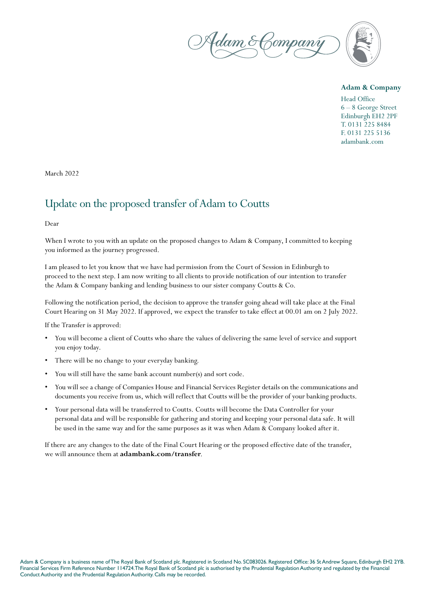

## **Adam & Company**

Head Office 6 – 8 George Street Edinburgh EH2 2PF T. 0131 225 8484 F. 0131 225 5136 adambank.com

March 2022

## Update on the proposed transfer of Adam to Coutts

Dear

When I wrote to you with an update on the proposed changes to Adam & Company, I committed to keeping you informed as the journey progressed.

I am pleased to let you know that we have had permission from the Court of Session in Edinburgh to proceed to the next step. I am now writing to all clients to provide notification of our intention to transfer the Adam & Company banking and lending business to our sister company Coutts & Co.

Following the notification period, the decision to approve the transfer going ahead will take place at the Final Court Hearing on 31 May 2022. If approved, we expect the transfer to take effect at 00.01 am on 2 July 2022.

If the Transfer is approved:

- You will become a client of Coutts who share the values of delivering the same level of service and support you enjoy today.
- There will be no change to your everyday banking.
- You will still have the same bank account number(s) and sort code.
- You will see a change of Companies House and Financial Services Register details on the communications and documents you receive from us, which will reflect that Coutts will be the provider of your banking products.
- Your personal data will be transferred to Coutts. Coutts will become the Data Controller for your personal data and will be responsible for gathering and storing and keeping your personal data safe. It will be used in the same way and for the same purposes as it was when Adam & Company looked after it.

If there are any changes to the date of the Final Court Hearing or the proposed effective date of the transfer, we will announce them at **adambank.com/transfer**.